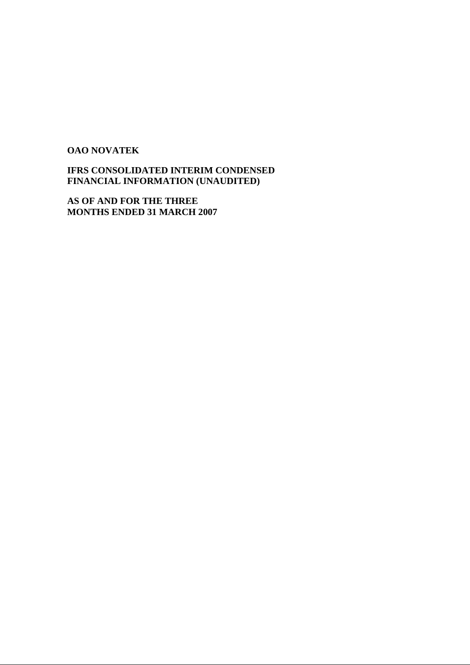#### **OAO NOVATEK**

**IFRS CONSOLIDATED INTERIM CONDENSED FINANCIAL INFORMATION (UNAUDITED)** 

**AS OF AND FOR THE THREE MONTHS ENDED 31 MARCH 2007**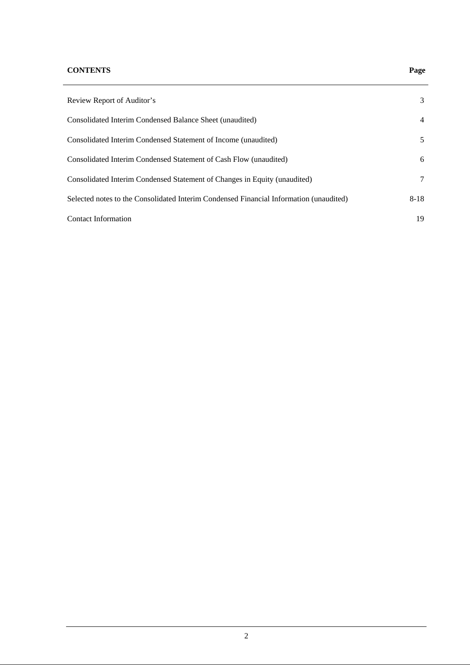#### **CONTENTS Page**

# Review Report of Auditor's 3 Consolidated Interim Condensed Balance Sheet (unaudited) 4 Consolidated Interim Condensed Statement of Income (unaudited) 5 Consolidated Interim Condensed Statement of Cash Flow (unaudited) 6 Consolidated Interim Condensed Statement of Changes in Equity (unaudited) 7 Selected notes to the Consolidated Interim Condensed Financial Information (unaudited) 8-18 Contact Information 19

#### 2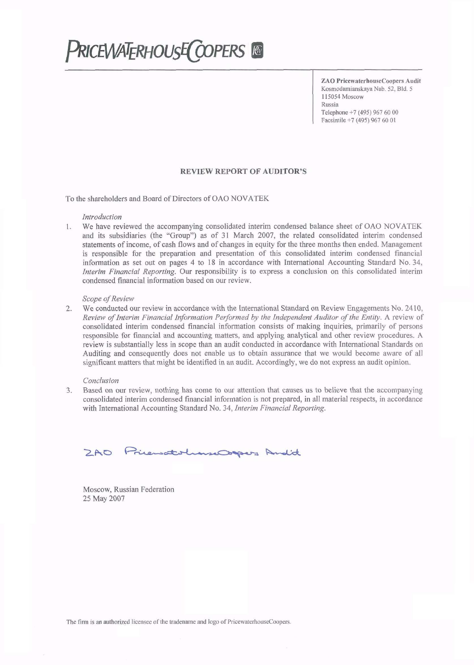# **PRICEWATERHOUSE COPERS &**

**ZAO PricewaterhouseCoopers Audit** Kosmodamianskaya Nab. 52, Bld. 5 115054 Moscow Russia Telephone +7 (495) 967 60 00 Facsimile +7 (495) 967 60 01

#### **REVIEW REPORT OF AUDITOR'S**

To the shareholders and Board of Directors of OAO NOVATEK

#### Introduction

We have reviewed the accompanying consolidated interim condensed balance sheet of OAO NOVATEK  $1.$ and its subsidiaries (the "Group") as of 31 March 2007, the related consolidated interim condensed statements of income, of cash flows and of changes in equity for the three months then ended. Management is responsible for the preparation and presentation of this consolidated interim condensed financial information as set out on pages 4 to 18 in accordance with International Accounting Standard No. 34, Interim Financial Reporting. Our responsibility is to express a conclusion on this consolidated interim condensed financial information based on our review.

#### Scope of Review

We conducted our review in accordance with the International Standard on Review Engagements No. 2410,  $2.$ Review of Interim Financial Information Performed by the Independent Auditor of the Entity. A review of consolidated interim condensed financial information consists of making inquiries, primarily of persons responsible for financial and accounting matters, and applying analytical and other review procedures. A review is substantially less in scope than an audit conducted in accordance with International Standards on Auditing and consequently does not enable us to obtain assurance that we would become aware of all significant matters that might be identified in an audit. Accordingly, we do not express an audit opinion.

#### Conclusion

Based on our review, nothing has come to our attention that causes us to believe that the accompanying  $3.$ consolidated interim condensed financial information is not prepared, in all material respects, in accordance with International Accounting Standard No. 34, Interim Financial Reporting.

2AO PricesatolianaCorpors Andit

Moscow, Russian Federation 25 May 2007

The firm is an authorized licensee of the tradename and logo of PricewaterhouseCoopers.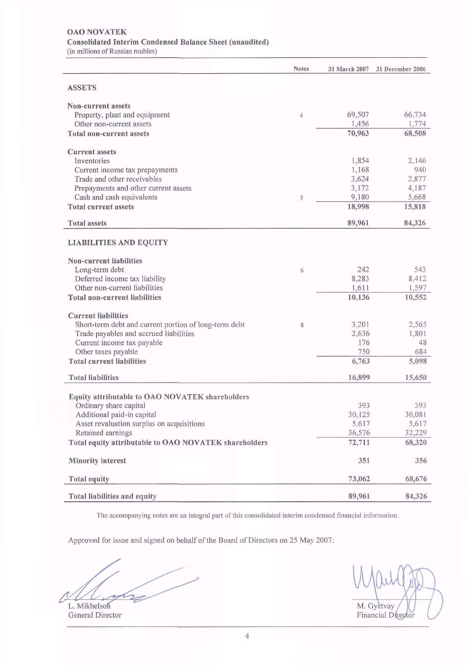#### **OAO NOVATEK Consolidated Interim Condensed Balance Sheet (unaudited)**

(in millions of Russian roubles)

|                                                       | <b>Notes</b>   | <b>31 March 2007</b> | 31 December 2006 |
|-------------------------------------------------------|----------------|----------------------|------------------|
| <b>ASSETS</b>                                         |                |                      |                  |
|                                                       |                |                      |                  |
| Non-current assets                                    |                |                      |                  |
| Property, plant and equipment                         | $\overline{4}$ | 69,507               | 66,734           |
| Other non-current assets                              |                | 1,456                | 1,774            |
| <b>Total non-current assets</b>                       |                | 70,963               | 68,508           |
| <b>Current</b> assets                                 |                |                      |                  |
| Inventories                                           |                | 1,854                | 2,146            |
| Current income tax prepayments                        |                | 1,168                | 940              |
| Trade and other receivables                           |                | 3,624                | 2,877            |
| Prepayments and other current assets                  |                | 3,172                | 4,187            |
| Cash and cash equivalents                             | 5              | 9,180                | 5,668            |
| <b>Total current assets</b>                           |                | 18,998               | 15,818           |
| <b>Total assets</b>                                   |                | 89,961               | 84,326           |
| <b>LIABILITIES AND EQUITY</b>                         |                |                      |                  |
| Non-current liabilities                               |                |                      |                  |
| Long-term debt                                        | 6              | 242                  | 543              |
| Deferred income tax liability                         |                | 8,283                | 8,412            |
| Other non-current liabilities                         |                | 1,611                | 1,597            |
| Total non-current liabilities                         |                | 10,136               | 10,552           |
| <b>Current liabilities</b>                            |                |                      |                  |
| Short-term debt and current portion of long-term debt | 8              | 3,201                | 2,565            |
| Trade payables and accrued liabilities                |                | 2,636                | 1,801            |
| Current income tax payable                            |                | 176                  | 48               |
| Other taxes payable                                   |                | 750                  | 684              |
| <b>Total current liabilities</b>                      |                | 6,763                | 5,098            |
| <b>Total liabilities</b>                              |                | 16,899               | 15,650           |
|                                                       |                |                      |                  |
| Equity attributable to OAO NOVATEK shareholders       |                |                      |                  |
| Ordinary share capital                                |                | 393                  | 393              |
| Additional paid-in capital                            |                | 30,125               | 30,081           |
| Asset revaluation surplus on acquisitions             |                | 5,617                | 5,617            |
| Retained earnings                                     |                | 36,576               | 32,229           |
| Total equity attributable to OAO NOVATEK shareholders |                | 72,711               | 68,320           |
| <b>Minority interest</b>                              |                | 351                  | 356              |
| <b>Total equity</b>                                   |                | 73,062               | 68,676           |
| Total liabilities and equity                          |                | 89,961               | 84,326           |

The accompanying notes are an integral part of this consolidated interim condensed financial information.

Approved for issue and signed on behalf of the Board of Directors on 25 May 2007:

 $\mathbb{Z}$ 

L. Mikhelson General Director

M. Gyetvay Financial Director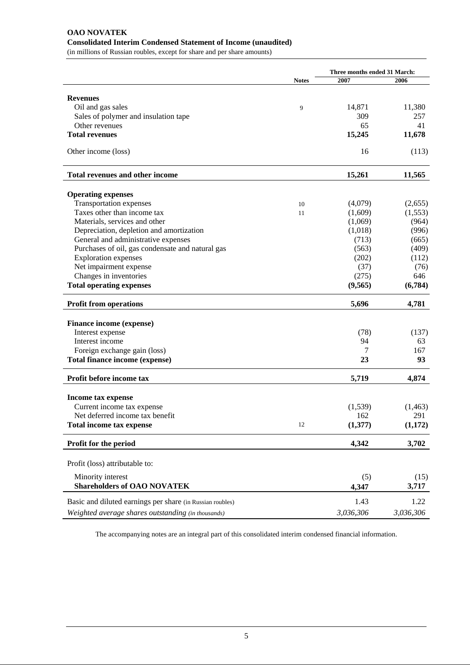#### **OAO NOVATEK Consolidated Interim Condensed Statement of Income (unaudited)**

(in millions of Russian roubles, except for share and per share amounts)

|                                                           |              | Three months ended 31 March: |           |
|-----------------------------------------------------------|--------------|------------------------------|-----------|
|                                                           | <b>Notes</b> | 2007                         | 2006      |
|                                                           |              |                              |           |
| <b>Revenues</b>                                           |              |                              |           |
| Oil and gas sales                                         | 9            | 14,871                       | 11,380    |
| Sales of polymer and insulation tape                      |              | 309                          | 257       |
| Other revenues                                            |              | 65                           | 41        |
| <b>Total revenues</b>                                     |              | 15,245                       | 11,678    |
| Other income (loss)                                       |              | 16                           | (113)     |
| <b>Total revenues and other income</b>                    |              | 15,261                       | 11,565    |
| <b>Operating expenses</b>                                 |              |                              |           |
| Transportation expenses                                   | 10           | (4,079)                      | (2,655)   |
| Taxes other than income tax                               | 11           | (1,609)                      | (1,553)   |
| Materials, services and other                             |              | (1,069)                      | (964)     |
| Depreciation, depletion and amortization                  |              | (1,018)                      | (996)     |
| General and administrative expenses                       |              | (713)                        | (665)     |
| Purchases of oil, gas condensate and natural gas          |              | (563)                        | (409)     |
| <b>Exploration</b> expenses                               |              | (202)                        | (112)     |
| Net impairment expense                                    |              | (37)                         | (76)      |
| Changes in inventories                                    |              | (275)                        | 646       |
| <b>Total operating expenses</b>                           |              | (9,565)                      | (6,784)   |
| <b>Profit from operations</b>                             |              | 5,696                        | 4,781     |
|                                                           |              |                              |           |
| Finance income (expense)                                  |              |                              |           |
| Interest expense                                          |              | (78)                         | (137)     |
| Interest income                                           |              | 94                           | 63        |
| Foreign exchange gain (loss)                              |              | 7                            | 167       |
| Total finance income (expense)                            |              | 23                           | 93        |
| Profit before income tax                                  |              | 5,719                        | 4,874     |
| Income tax expense                                        |              |                              |           |
| Current income tax expense                                |              | (1,539)                      | (1,463)   |
| Net deferred income tax benefit                           |              | 162                          | 291       |
| <b>Total income tax expense</b>                           | 12           | (1,377)                      | (1,172)   |
| Profit for the period                                     |              | 4,342                        | 3,702     |
|                                                           |              |                              |           |
| Profit (loss) attributable to:                            |              |                              |           |
| Minority interest                                         |              | (5)                          | (15)      |
| <b>Shareholders of OAO NOVATEK</b>                        |              | 4,347                        | 3,717     |
| Basic and diluted earnings per share (in Russian roubles) |              | 1.43                         | 1.22      |
| Weighted average shares outstanding (in thousands)        |              | 3,036,306                    | 3,036,306 |

The accompanying notes are an integral part of this consolidated interim condensed financial information.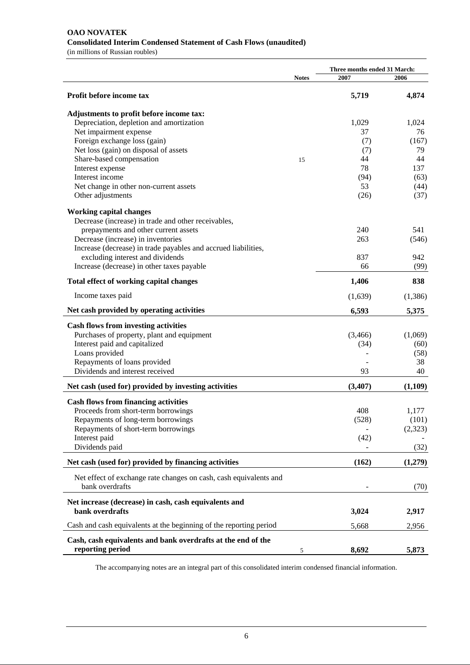### **OAO NOVATEK Consolidated Interim Condensed Statement of Cash Flows (unaudited)**

(in millions of Russian roubles)

|                                                                                      |              | Three months ended 31 March: |         |
|--------------------------------------------------------------------------------------|--------------|------------------------------|---------|
|                                                                                      | <b>Notes</b> | 2007                         | 2006    |
| Profit before income tax                                                             |              | 5,719                        | 4,874   |
| Adjustments to profit before income tax:                                             |              |                              |         |
| Depreciation, depletion and amortization                                             |              | 1,029                        | 1,024   |
| Net impairment expense                                                               |              | 37                           | 76      |
| Foreign exchange loss (gain)                                                         |              | (7)                          | (167)   |
| Net loss (gain) on disposal of assets                                                |              | (7)                          | 79      |
| Share-based compensation                                                             | 15           | 44                           | 44      |
| Interest expense                                                                     |              | 78                           | 137     |
| Interest income                                                                      |              | (94)                         | (63)    |
| Net change in other non-current assets                                               |              | 53                           | (44)    |
| Other adjustments                                                                    |              | (26)                         | (37)    |
| <b>Working capital changes</b>                                                       |              |                              |         |
| Decrease (increase) in trade and other receivables,                                  |              |                              |         |
| prepayments and other current assets                                                 |              | 240                          | 541     |
| Decrease (increase) in inventories                                                   |              | 263                          | (546)   |
| Increase (decrease) in trade payables and accrued liabilities,                       |              |                              |         |
| excluding interest and dividends                                                     |              | 837                          | 942     |
| Increase (decrease) in other taxes payable                                           |              | 66                           | (99)    |
| Total effect of working capital changes                                              |              | 1,406                        | 838     |
| Income taxes paid                                                                    |              | (1,639)                      | (1,386) |
| Net cash provided by operating activities                                            |              | 6,593                        | 5,375   |
| <b>Cash flows from investing activities</b>                                          |              |                              |         |
| Purchases of property, plant and equipment                                           |              | (3,466)                      | (1,069) |
| Interest paid and capitalized                                                        |              | (34)                         | (60)    |
| Loans provided                                                                       |              |                              | (58)    |
| Repayments of loans provided                                                         |              |                              | 38      |
| Dividends and interest received                                                      |              | 93                           | 40      |
| Net cash (used for) provided by investing activities                                 |              | (3, 407)                     | (1,109) |
| <b>Cash flows from financing activities</b>                                          |              |                              |         |
| Proceeds from short-term borrowings                                                  |              | 408                          | 1,177   |
| Repayments of long-term borrowings                                                   |              | (528)                        | (101)   |
| Repayments of short-term borrowings                                                  |              |                              | (2,323) |
| Interest paid                                                                        |              | (42)                         |         |
| Dividends paid                                                                       |              |                              | (32)    |
| Net cash (used for) provided by financing activities                                 |              | (162)                        | (1,279) |
|                                                                                      |              |                              |         |
| Net effect of exchange rate changes on cash, cash equivalents and<br>bank overdrafts |              |                              | (70)    |
| Net increase (decrease) in cash, cash equivalents and                                |              |                              |         |
| bank overdrafts                                                                      |              | 3,024                        | 2,917   |
| Cash and cash equivalents at the beginning of the reporting period                   |              | 5,668                        | 2,956   |
| Cash, cash equivalents and bank overdrafts at the end of the                         |              |                              |         |
| reporting period                                                                     | 5            | 8,692                        | 5,873   |

The accompanying notes are an integral part of this consolidated interim condensed financial information.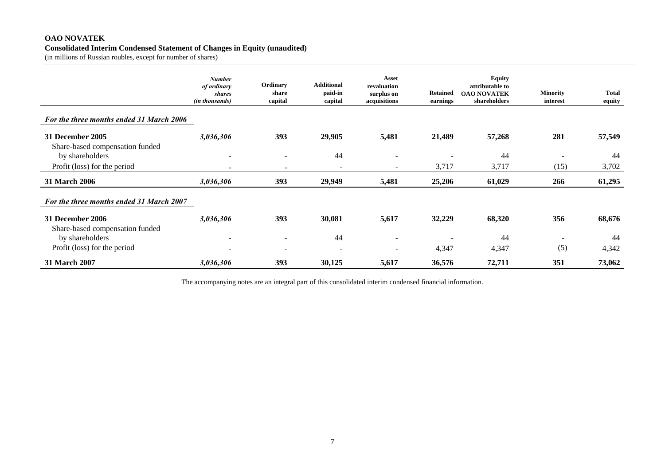## **OAO NOVATEK**

**Consolidated Interim Condensed Statement of Changes in Equity (unaudited)** 

(in millions of Russian roubles, except for number of shares)

|                                                     | <b>Number</b><br>of ordinary<br><i>shares</i><br>(in thousands) | Ordinary<br>share<br>capital | <b>Additional</b><br>paid-in<br>capital | <b>Asset</b><br>revaluation<br>surplus on<br>acquisitions | <b>Retained</b><br>earnings | <b>Equity</b><br>attributable to<br><b>OAO NOVATEK</b><br>shareholders | <b>Minority</b><br>interest | <b>Total</b><br>equity |
|-----------------------------------------------------|-----------------------------------------------------------------|------------------------------|-----------------------------------------|-----------------------------------------------------------|-----------------------------|------------------------------------------------------------------------|-----------------------------|------------------------|
| For the three months ended 31 March 2006            |                                                                 |                              |                                         |                                                           |                             |                                                                        |                             |                        |
| 31 December 2005<br>Share-based compensation funded | 3,036,306                                                       | 393                          | 29,905                                  | 5,481                                                     | 21,489                      | 57,268                                                                 | 281                         | 57,549                 |
| by shareholders                                     | $\overline{\phantom{0}}$                                        | $\overline{\phantom{a}}$     | 44                                      | $\overline{\phantom{a}}$                                  | $\overline{\phantom{0}}$    | 44                                                                     |                             | 44                     |
| Profit (loss) for the period                        |                                                                 | $\overline{\phantom{a}}$     | $\sim$                                  | $\sim$                                                    | 3,717                       | 3,717                                                                  | (15)                        | 3,702                  |
| <b>31 March 2006</b>                                | 3,036,306                                                       | 393                          | 29,949                                  | 5,481                                                     | 25,206                      | 61,029                                                                 | 266                         | 61,295                 |
| For the three months ended 31 March 2007            |                                                                 |                              |                                         |                                                           |                             |                                                                        |                             |                        |
| 31 December 2006                                    | 3,036,306                                                       | 393                          | 30,081                                  | 5,617                                                     | 32,229                      | 68,320                                                                 | 356                         | 68,676                 |
| Share-based compensation funded<br>by shareholders  |                                                                 |                              | 44                                      | ۰                                                         |                             | 44                                                                     |                             | 44                     |
| Profit (loss) for the period                        | $\overline{\phantom{a}}$                                        | $\overline{\phantom{a}}$     | $\sim$                                  | $\overline{\phantom{a}}$                                  | 4,347                       | 4,347                                                                  | (5)                         | 4,342                  |
| 31 March 2007                                       | 3,036,306                                                       | 393                          | 30,125                                  | 5,617                                                     | 36,576                      | 72,711                                                                 | 351                         | 73,062                 |

The accompanying notes are an integral part of this consolidated interim condensed financial information.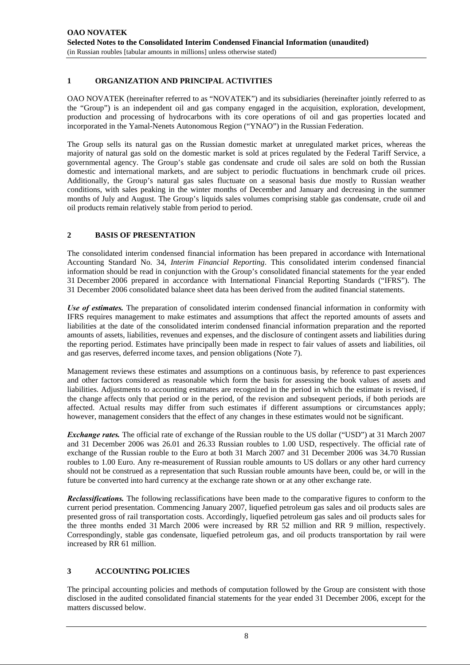#### **1 ORGANIZATION AND PRINCIPAL ACTIVITIES**

OAO NOVATEK (hereinafter referred to as "NOVATEK") and its subsidiaries (hereinafter jointly referred to as the "Group") is an independent oil and gas company engaged in the acquisition, exploration, development, production and processing of hydrocarbons with its core operations of oil and gas properties located and incorporated in the Yamal-Nenets Autonomous Region ("YNAO") in the Russian Federation.

The Group sells its natural gas on the Russian domestic market at unregulated market prices, whereas the majority of natural gas sold on the domestic market is sold at prices regulated by the Federal Tariff Service, a governmental agency. The Group's stable gas condensate and crude oil sales are sold on both the Russian domestic and international markets, and are subject to periodic fluctuations in benchmark crude oil prices. Additionally, the Group's natural gas sales fluctuate on a seasonal basis due mostly to Russian weather conditions, with sales peaking in the winter months of December and January and decreasing in the summer months of July and August. The Group's liquids sales volumes comprising stable gas condensate, crude oil and oil products remain relatively stable from period to period.

#### **2 BASIS OF PRESENTATION**

The consolidated interim condensed financial information has been prepared in accordance with International Accounting Standard No. 34, *Interim Financial Reporting*. This consolidated interim condensed financial information should be read in conjunction with the Group's consolidated financial statements for the year ended 31 December 2006 prepared in accordance with International Financial Reporting Standards ("IFRS"). The 31 December 2006 consolidated balance sheet data has been derived from the audited financial statements.

*Use of estimates.* The preparation of consolidated interim condensed financial information in conformity with IFRS requires management to make estimates and assumptions that affect the reported amounts of assets and liabilities at the date of the consolidated interim condensed financial information preparation and the reported amounts of assets, liabilities, revenues and expenses, and the disclosure of contingent assets and liabilities during the reporting period. Estimates have principally been made in respect to fair values of assets and liabilities, oil and gas reserves, deferred income taxes, and pension obligations (Note 7).

Management reviews these estimates and assumptions on a continuous basis, by reference to past experiences and other factors considered as reasonable which form the basis for assessing the book values of assets and liabilities. Adjustments to accounting estimates are recognized in the period in which the estimate is revised, if the change affects only that period or in the period, of the revision and subsequent periods, if both periods are affected. Actual results may differ from such estimates if different assumptions or circumstances apply; however, management considers that the effect of any changes in these estimates would not be significant.

*Exchange rates.* The official rate of exchange of the Russian rouble to the US dollar ("USD") at 31 March 2007 and 31 December 2006 was 26.01 and 26.33 Russian roubles to 1.00 USD, respectively. The official rate of exchange of the Russian rouble to the Euro at both 31 March 2007 and 31 December 2006 was 34.70 Russian roubles to 1.00 Euro. Any re-measurement of Russian rouble amounts to US dollars or any other hard currency should not be construed as a representation that such Russian rouble amounts have been, could be, or will in the future be converted into hard currency at the exchange rate shown or at any other exchange rate.

*Reclassifications.* The following reclassifications have been made to the comparative figures to conform to the current period presentation. Commencing January 2007, liquefied petroleum gas sales and oil products sales are presented gross of rail transportation costs. Accordingly, liquefied petroleum gas sales and oil products sales for the three months ended 31 March 2006 were increased by RR 52 million and RR 9 million, respectively. Correspondingly, stable gas condensate, liquefied petroleum gas, and oil products transportation by rail were increased by RR 61 million.

#### **3 ACCOUNTING POLICIES**

The principal accounting policies and methods of computation followed by the Group are consistent with those disclosed in the audited consolidated financial statements for the year ended 31 December 2006, except for the matters discussed below.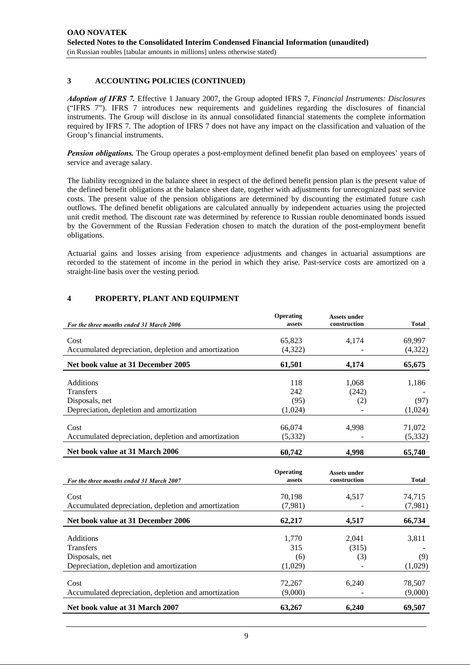#### **3 ACCOUNTING POLICIES (CONTINUED)**

*Adoption of IFRS 7.* Effective 1 January 2007, the Group adopted IFRS 7, *Financial Instruments: Disclosures*  ("IFRS 7"). IFRS 7 introduces new requirements and guidelines regarding the disclosures of financial instruments. The Group will disclose in its annual consolidated financial statements the complete information required by IFRS 7. The adoption of IFRS 7 does not have any impact on the classification and valuation of the Group's financial instruments.

*Pension obligations.* The Group operates a post-employment defined benefit plan based on employees' years of service and average salary.

The liability recognized in the balance sheet in respect of the defined benefit pension plan is the present value of the defined benefit obligations at the balance sheet date, together with adjustments for unrecognized past service costs. The present value of the pension obligations are determined by discounting the estimated future cash outflows. The defined benefit obligations are calculated annually by independent actuaries using the projected unit credit method. The discount rate was determined by reference to Russian rouble denominated bonds issued by the Government of the Russian Federation chosen to match the duration of the post-employment benefit obligations.

Actuarial gains and losses arising from experience adjustments and changes in actuarial assumptions are recorded to the statement of income in the period in which they arise. Past-service costs are amortized on a straight-line basis over the vesting period.

#### **4 PROPERTY, PLANT AND EQUIPMENT**

| For the three months ended 31 March 2006             | Operating<br>assets | <b>Assets under</b><br>construction | <b>Total</b> |
|------------------------------------------------------|---------------------|-------------------------------------|--------------|
|                                                      |                     |                                     |              |
| Cost                                                 | 65,823              | 4,174                               | 69,997       |
| Accumulated depreciation, depletion and amortization | (4, 322)            |                                     | (4,322)      |
| Net book value at 31 December 2005                   | 61,501              | 4,174                               | 65,675       |
| Additions                                            | 118                 | 1,068                               | 1,186        |
| <b>Transfers</b>                                     | 242                 | (242)                               |              |
| Disposals, net                                       | (95)                | (2)                                 | (97)         |
| Depreciation, depletion and amortization             | (1,024)             |                                     | (1,024)      |
| Cost                                                 | 66,074              | 4,998                               | 71,072       |
| Accumulated depreciation, depletion and amortization | (5,332)             |                                     | (5,332)      |
| Net book value at 31 March 2006                      | 60,742              | 4,998                               | 65,740       |
| For the three months ended 31 March 2007             | Operating<br>assets | <b>Assets under</b><br>construction | <b>Total</b> |
| Cost                                                 | 70,198              | 4,517                               | 74,715       |
| Accumulated depreciation, depletion and amortization | (7,981)             |                                     | (7,981)      |
| Net book value at 31 December 2006                   | 62,217              | 4,517                               | 66,734       |
| Additions                                            | 1,770               | 2,041                               | 3,811        |
| <b>Transfers</b>                                     | 315                 | (315)                               |              |
| Disposals, net                                       | (6)                 | (3)                                 | (9)          |
| Depreciation, depletion and amortization             | (1,029)             |                                     | (1,029)      |
| Cost                                                 | 72,267              | 6,240                               | 78,507       |
| Accumulated depreciation, depletion and amortization | (9,000)             |                                     | (9,000)      |
| Net book value at 31 March 2007                      | 63,267              | 6,240                               | 69,507       |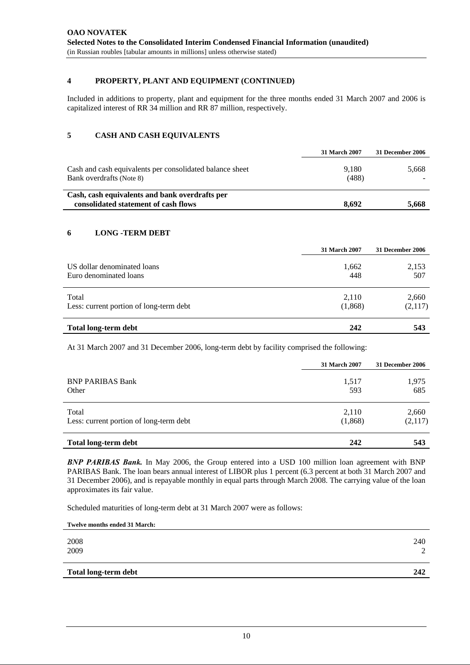#### **4 PROPERTY, PLANT AND EQUIPMENT (CONTINUED)**

Included in additions to property, plant and equipment for the three months ended 31 March 2007 and 2006 is capitalized interest of RR 34 million and RR 87 million, respectively.

#### **5 CASH AND CASH EQUIVALENTS**

|                                                                                        | 31 March 2007  | 31 December 2006 |
|----------------------------------------------------------------------------------------|----------------|------------------|
| Cash and cash equivalents per consolidated balance sheet<br>Bank overdrafts (Note 8)   | 9.180<br>(488) | 5,668            |
| Cash, cash equivalents and bank overdrafts per<br>consolidated statement of cash flows | 8,692          | 5.668            |

#### **6 LONG -TERM DEBT**

|                                         | <b>31 March 2007</b> | 31 December 2006 |
|-----------------------------------------|----------------------|------------------|
| US dollar denominated loans             | 1,662                | 2,153            |
| Euro denominated loans                  | 448                  | 507              |
| Total                                   | 2,110                | 2,660            |
| Less: current portion of long-term debt | (1,868)              | (2,117)          |
| Total long-term debt                    | 242                  | 543              |

At 31 March 2007 and 31 December 2006, long-term debt by facility comprised the following:

|                                         | 31 March 2007 | 31 December 2006 |
|-----------------------------------------|---------------|------------------|
| <b>BNP PARIBAS Bank</b>                 | 1,517         | 1,975            |
| Other                                   | 593           | 685              |
| Total                                   | 2,110         | 2,660            |
| Less: current portion of long-term debt | (1,868)       | (2,117)          |
| <b>Total long-term debt</b>             | 242           | 543              |

*BNP PARIBAS Bank.* In May 2006, the Group entered into a USD 100 million loan agreement with BNP PARIBAS Bank. The loan bears annual interest of LIBOR plus 1 percent (6.3 percent at both 31 March 2007 and 31 December 2006), and is repayable monthly in equal parts through March 2008. The carrying value of the loan approximates its fair value.

Scheduled maturities of long-term debt at 31 March 2007 were as follows:

|                                      | 242 |
|--------------------------------------|-----|
| 2009                                 | 2   |
| 2008                                 | 240 |
| <b>Twelve months ended 31 March:</b> |     |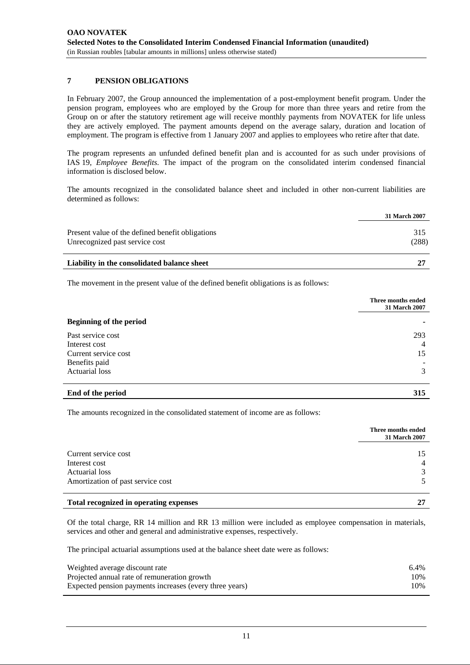#### **7 PENSION OBLIGATIONS**

In February 2007, the Group announced the implementation of a post-employment benefit program. Under the pension program, employees who are employed by the Group for more than three years and retire from the Group on or after the statutory retirement age will receive monthly payments from NOVATEK for life unless they are actively employed. The payment amounts depend on the average salary, duration and location of employment. The program is effective from 1 January 2007 and applies to employees who retire after that date.

The program represents an unfunded defined benefit plan and is accounted for as such under provisions of IAS 19, *Employee Benefits*. The impact of the program on the consolidated interim condensed financial information is disclosed below.

The amounts recognized in the consolidated balance sheet and included in other non-current liabilities are determined as follows:

|                                                                                    | <b>31 March 2007</b> |
|------------------------------------------------------------------------------------|----------------------|
| Present value of the defined benefit obligations<br>Unrecognized past service cost | 315<br>(288)         |
| Liability in the consolidated balance sheet                                        |                      |

The movement in the present value of the defined benefit obligations is as follows:

|                                | Three months ended<br>31 March 2007 |
|--------------------------------|-------------------------------------|
| <b>Beginning of the period</b> |                                     |
| Past service cost              | 293                                 |
| Interest cost                  | 4                                   |
| Current service cost           | 15                                  |
| Benefits paid                  |                                     |
| <b>Actuarial</b> loss          | 3                                   |
| End of the period              | 315                                 |

The amounts recognized in the consolidated statement of income are as follows:

|                                       | Three months ended<br>31 March 2007 |
|---------------------------------------|-------------------------------------|
|                                       |                                     |
| Current service cost                  | 15                                  |
| Interest cost                         | $\overline{4}$                      |
| <b>Actuarial loss</b>                 | 3                                   |
| Amortization of past service cost     |                                     |
| Total recognized in energy experience | 27                                  |

#### **Total recognized in operating expenses 27**

Of the total charge, RR 14 million and RR 13 million were included as employee compensation in materials, services and other and general and administrative expenses, respectively.

The principal actuarial assumptions used at the balance sheet date were as follows:

| Weighted average discount rate                          | 6.4% |
|---------------------------------------------------------|------|
| Projected annual rate of remuneration growth            | 10%  |
| Expected pension payments increases (every three years) | 10%  |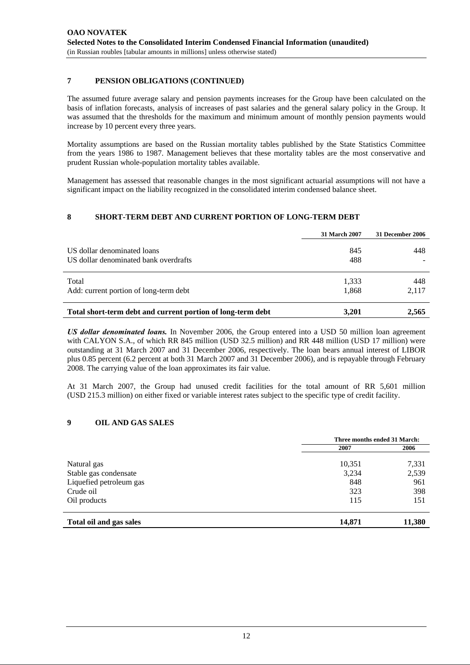#### **7 PENSION OBLIGATIONS (CONTINUED)**

The assumed future average salary and pension payments increases for the Group have been calculated on the basis of inflation forecasts, analysis of increases of past salaries and the general salary policy in the Group. It was assumed that the thresholds for the maximum and minimum amount of monthly pension payments would increase by 10 percent every three years.

Mortality assumptions are based on the Russian mortality tables published by the State Statistics Committee from the years 1986 to 1987. Management believes that these mortality tables are the most conservative and prudent Russian whole-population mortality tables available.

Management has assessed that reasonable changes in the most significant actuarial assumptions will not have a significant impact on the liability recognized in the consolidated interim condensed balance sheet.

#### **8 SHORT-TERM DEBT AND CURRENT PORTION OF LONG-TERM DEBT**

|                                                                      | 31 March 2007  | 31 December 2006 |
|----------------------------------------------------------------------|----------------|------------------|
| US dollar denominated loans<br>US dollar denominated bank overdrafts | 845<br>488     | 448              |
| Total<br>Add: current portion of long-term debt                      | 1,333<br>1,868 | 448<br>2,117     |
| Total short-term debt and current portion of long-term debt          | 3.201          | 2,565            |

*US dollar denominated loans.* In November 2006, the Group entered into a USD 50 million loan agreement with CALYON S.A., of which RR 845 million (USD 32.5 million) and RR 448 million (USD 17 million) were outstanding at 31 March 2007 and 31 December 2006, respectively. The loan bears annual interest of LIBOR plus 0.85 percent (6.2 percent at both 31 March 2007 and 31 December 2006), and is repayable through February 2008. The carrying value of the loan approximates its fair value.

At 31 March 2007, the Group had unused credit facilities for the total amount of RR 5,601 million (USD 215.3 million) on either fixed or variable interest rates subject to the specific type of credit facility.

#### **9 OIL AND GAS SALES**

|                         | Three months ended 31 March: |        |
|-------------------------|------------------------------|--------|
|                         | 2007                         | 2006   |
| Natural gas             | 10,351                       | 7,331  |
| Stable gas condensate   | 3,234                        | 2,539  |
| Liquefied petroleum gas | 848                          | 961    |
| Crude oil               | 323                          | 398    |
| Oil products            | 115                          | 151    |
| Total oil and gas sales | 14,871                       | 11,380 |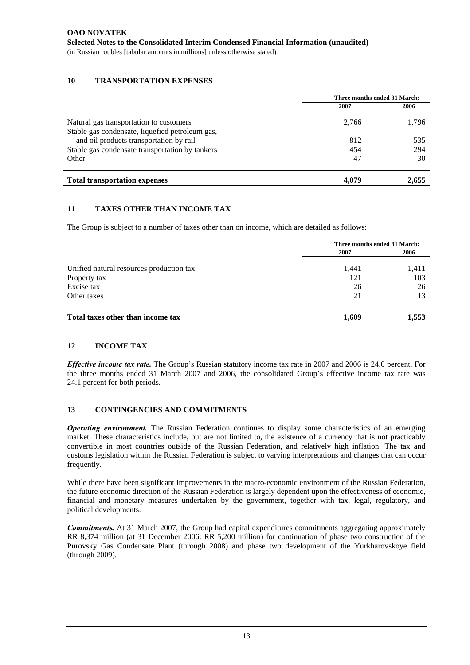#### **10 TRANSPORTATION EXPENSES**

|                                                                                            | Three months ended 31 March: |           |
|--------------------------------------------------------------------------------------------|------------------------------|-----------|
|                                                                                            | 2007                         | 2006      |
| Natural gas transportation to customers                                                    | 2,766                        | 1,796     |
| Stable gas condensate, liquefied petroleum gas,<br>and oil products transportation by rail | 812                          | 535       |
| Stable gas condensate transportation by tankers<br>Other                                   | 454<br>47                    | 294<br>30 |
|                                                                                            |                              |           |
| <b>Total transportation expenses</b>                                                       | 4.079                        | 2,655     |

#### **11 TAXES OTHER THAN INCOME TAX**

The Group is subject to a number of taxes other than on income, which are detailed as follows:

|                                          | Three months ended 31 March: |       |
|------------------------------------------|------------------------------|-------|
|                                          | 2007                         | 2006  |
| Unified natural resources production tax | 1,441                        | 1,411 |
| Property tax                             | 121                          | 103   |
| Excise tax                               | 26                           | 26    |
| Other taxes                              | 21                           | 13    |
| Total taxes other than income tax        | 1,609                        | 1,553 |

#### **12 INCOME TAX**

*Effective income tax rate.* The Group's Russian statutory income tax rate in 2007 and 2006 is 24.0 percent. For the three months ended 31 March 2007 and 2006, the consolidated Group's effective income tax rate was 24.1 percent for both periods.

#### **13 CONTINGENCIES AND COMMITMENTS**

*Operating environment.* The Russian Federation continues to display some characteristics of an emerging market. These characteristics include, but are not limited to, the existence of a currency that is not practicably convertible in most countries outside of the Russian Federation, and relatively high inflation. The tax and customs legislation within the Russian Federation is subject to varying interpretations and changes that can occur frequently.

While there have been significant improvements in the macro-economic environment of the Russian Federation, the future economic direction of the Russian Federation is largely dependent upon the effectiveness of economic, financial and monetary measures undertaken by the government, together with tax, legal, regulatory, and political developments.

*Commitments.* At 31 March 2007, the Group had capital expenditures commitments aggregating approximately RR 8,374 million (at 31 December 2006: RR 5,200 million) for continuation of phase two construction of the Purovsky Gas Condensate Plant (through 2008) and phase two development of the Yurkharovskoye field (through 2009).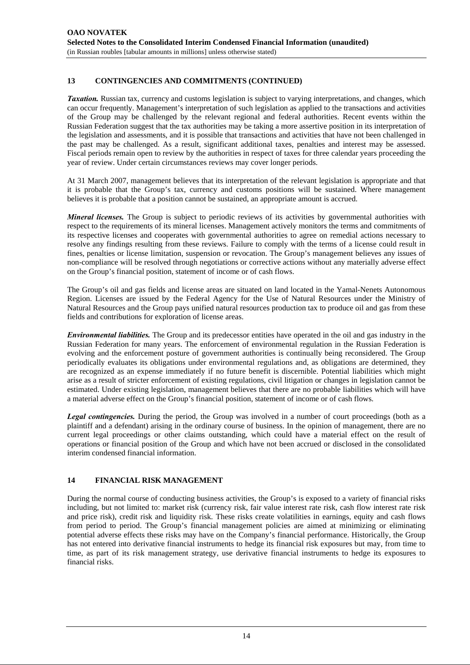#### **13 CONTINGENCIES AND COMMITMENTS (CONTINUED)**

*Taxation.* Russian tax, currency and customs legislation is subject to varying interpretations, and changes, which can occur frequently. Management's interpretation of such legislation as applied to the transactions and activities of the Group may be challenged by the relevant regional and federal authorities. Recent events within the Russian Federation suggest that the tax authorities may be taking a more assertive position in its interpretation of the legislation and assessments, and it is possible that transactions and activities that have not been challenged in the past may be challenged. As a result, significant additional taxes, penalties and interest may be assessed. Fiscal periods remain open to review by the authorities in respect of taxes for three calendar years proceeding the year of review. Under certain circumstances reviews may cover longer periods.

At 31 March 2007, management believes that its interpretation of the relevant legislation is appropriate and that it is probable that the Group's tax, currency and customs positions will be sustained. Where management believes it is probable that a position cannot be sustained, an appropriate amount is accrued.

*Mineral licenses.* The Group is subject to periodic reviews of its activities by governmental authorities with respect to the requirements of its mineral licenses. Management actively monitors the terms and commitments of its respective licenses and cooperates with governmental authorities to agree on remedial actions necessary to resolve any findings resulting from these reviews. Failure to comply with the terms of a license could result in fines, penalties or license limitation, suspension or revocation. The Group's management believes any issues of non-compliance will be resolved through negotiations or corrective actions without any materially adverse effect on the Group's financial position, statement of income or of cash flows.

The Group's oil and gas fields and license areas are situated on land located in the Yamal-Nenets Autonomous Region. Licenses are issued by the Federal Agency for the Use of Natural Resources under the Ministry of Natural Resources and the Group pays unified natural resources production tax to produce oil and gas from these fields and contributions for exploration of license areas.

*Environmental liabilities.* The Group and its predecessor entities have operated in the oil and gas industry in the Russian Federation for many years. The enforcement of environmental regulation in the Russian Federation is evolving and the enforcement posture of government authorities is continually being reconsidered. The Group periodically evaluates its obligations under environmental regulations and, as obligations are determined, they are recognized as an expense immediately if no future benefit is discernible. Potential liabilities which might arise as a result of stricter enforcement of existing regulations, civil litigation or changes in legislation cannot be estimated. Under existing legislation, management believes that there are no probable liabilities which will have a material adverse effect on the Group's financial position, statement of income or of cash flows.

*Legal contingencies.* During the period, the Group was involved in a number of court proceedings (both as a plaintiff and a defendant) arising in the ordinary course of business. In the opinion of management, there are no current legal proceedings or other claims outstanding, which could have a material effect on the result of operations or financial position of the Group and which have not been accrued or disclosed in the consolidated interim condensed financial information.

#### **14 FINANCIAL RISK MANAGEMENT**

During the normal course of conducting business activities, the Group's is exposed to a variety of financial risks including, but not limited to: market risk (currency risk, fair value interest rate risk, cash flow interest rate risk and price risk), credit risk and liquidity risk. These risks create volatilities in earnings, equity and cash flows from period to period. The Group's financial management policies are aimed at minimizing or eliminating potential adverse effects these risks may have on the Company's financial performance. Historically, the Group has not entered into derivative financial instruments to hedge its financial risk exposures but may, from time to time, as part of its risk management strategy, use derivative financial instruments to hedge its exposures to financial risks.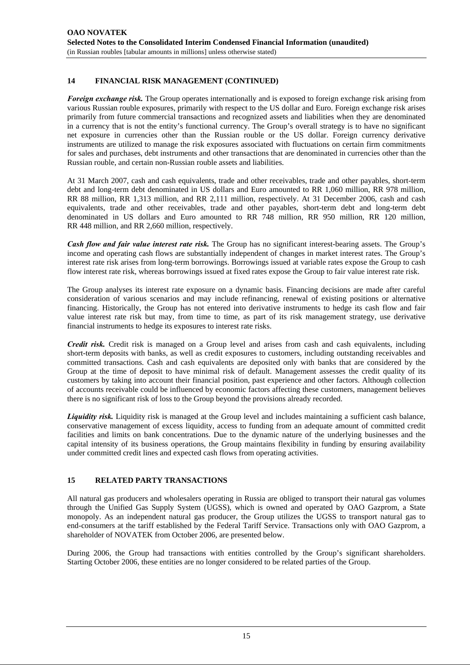#### **14 FINANCIAL RISK MANAGEMENT (CONTINUED)**

*Foreign exchange risk*. The Group operates internationally and is exposed to foreign exchange risk arising from various Russian rouble exposures, primarily with respect to the US dollar and Euro. Foreign exchange risk arises primarily from future commercial transactions and recognized assets and liabilities when they are denominated in a currency that is not the entity's functional currency. The Group's overall strategy is to have no significant net exposure in currencies other than the Russian rouble or the US dollar. Foreign currency derivative instruments are utilized to manage the risk exposures associated with fluctuations on certain firm commitments for sales and purchases, debt instruments and other transactions that are denominated in currencies other than the Russian rouble, and certain non-Russian rouble assets and liabilities.

At 31 March 2007, cash and cash equivalents, trade and other receivables, trade and other payables, short-term debt and long-term debt denominated in US dollars and Euro amounted to RR 1,060 million, RR 978 million, RR 88 million, RR 1,313 million, and RR 2,111 million, respectively. At 31 December 2006, cash and cash equivalents, trade and other receivables, trade and other payables, short-term debt and long-term debt denominated in US dollars and Euro amounted to RR 748 million, RR 950 million, RR 120 million, RR 448 million, and RR 2,660 million, respectively.

*Cash flow and fair value interest rate risk.* The Group has no significant interest-bearing assets. The Group's income and operating cash flows are substantially independent of changes in market interest rates. The Group's interest rate risk arises from long-term borrowings. Borrowings issued at variable rates expose the Group to cash flow interest rate risk, whereas borrowings issued at fixed rates expose the Group to fair value interest rate risk.

The Group analyses its interest rate exposure on a dynamic basis. Financing decisions are made after careful consideration of various scenarios and may include refinancing, renewal of existing positions or alternative financing. Historically, the Group has not entered into derivative instruments to hedge its cash flow and fair value interest rate risk but may, from time to time, as part of its risk management strategy, use derivative financial instruments to hedge its exposures to interest rate risks.

*Credit risk.* Credit risk is managed on a Group level and arises from cash and cash equivalents, including short-term deposits with banks, as well as credit exposures to customers, including outstanding receivables and committed transactions. Cash and cash equivalents are deposited only with banks that are considered by the Group at the time of deposit to have minimal risk of default. Management assesses the credit quality of its customers by taking into account their financial position, past experience and other factors. Although collection of accounts receivable could be influenced by economic factors affecting these customers, management believes there is no significant risk of loss to the Group beyond the provisions already recorded.

*Liquidity risk.* Liquidity risk is managed at the Group level and includes maintaining a sufficient cash balance, conservative management of excess liquidity, access to funding from an adequate amount of committed credit facilities and limits on bank concentrations. Due to the dynamic nature of the underlying businesses and the capital intensity of its business operations, the Group maintains flexibility in funding by ensuring availability under committed credit lines and expected cash flows from operating activities.

#### **15 RELATED PARTY TRANSACTIONS**

All natural gas producers and wholesalers operating in Russia are obliged to transport their natural gas volumes through the Unified Gas Supply System (UGSS), which is owned and operated by OAO Gazprom, a State monopoly. As an independent natural gas producer, the Group utilizes the UGSS to transport natural gas to end-consumers at the tariff established by the Federal Tariff Service. Transactions only with OAO Gazprom, a shareholder of NOVATEK from October 2006, are presented below.

During 2006, the Group had transactions with entities controlled by the Group's significant shareholders. Starting October 2006, these entities are no longer considered to be related parties of the Group.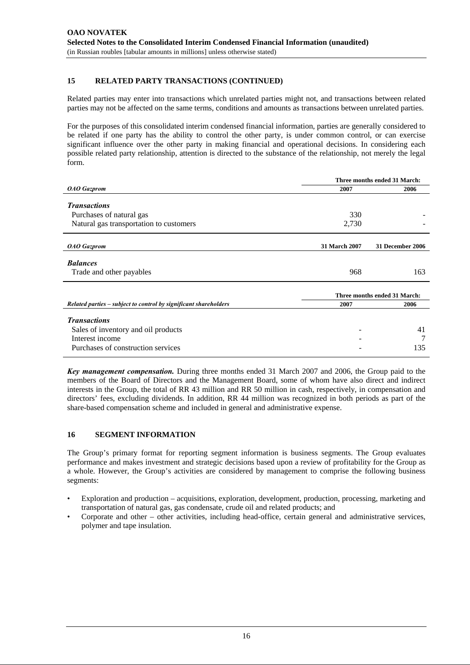#### **15 RELATED PARTY TRANSACTIONS (CONTINUED)**

Related parties may enter into transactions which unrelated parties might not, and transactions between related parties may not be affected on the same terms, conditions and amounts as transactions between unrelated parties.

For the purposes of this consolidated interim condensed financial information, parties are generally considered to be related if one party has the ability to control the other party, is under common control, or can exercise significant influence over the other party in making financial and operational decisions. In considering each possible related party relationship, attention is directed to the substance of the relationship, not merely the legal form.

|                                                                  | Three months ended 31 March: |                  |
|------------------------------------------------------------------|------------------------------|------------------|
| <b>OAO</b> Gazprom                                               | 2007                         | 2006             |
| <b>Transactions</b>                                              |                              |                  |
| Purchases of natural gas                                         | 330                          |                  |
| Natural gas transportation to customers                          | 2,730                        |                  |
| <b>OAO</b> Gazprom                                               | 31 March 2007                | 31 December 2006 |
| <b>Balances</b>                                                  |                              |                  |
| Trade and other payables                                         | 968                          | 163              |
|                                                                  | Three months ended 31 March: |                  |
| Related parties – subject to control by significant shareholders | 2007                         | 2006             |
| <b>Transactions</b>                                              |                              |                  |
| Sales of inventory and oil products                              |                              | 41               |
| Interest income                                                  |                              |                  |
| Purchases of construction services                               |                              | 135              |

*Key management compensation.* During three months ended 31 March 2007 and 2006, the Group paid to the members of the Board of Directors and the Management Board, some of whom have also direct and indirect interests in the Group, the total of RR 43 million and RR 50 million in cash, respectively, in compensation and directors' fees, excluding dividends. In addition, RR 44 million was recognized in both periods as part of the share-based compensation scheme and included in general and administrative expense.

#### **16 SEGMENT INFORMATION**

The Group's primary format for reporting segment information is business segments. The Group evaluates performance and makes investment and strategic decisions based upon a review of profitability for the Group as a whole. However, the Group's activities are considered by management to comprise the following business segments:

- Exploration and production acquisitions, exploration, development, production, processing, marketing and transportation of natural gas, gas condensate, crude oil and related products; and
- Corporate and other other activities, including head-office, certain general and administrative services, polymer and tape insulation.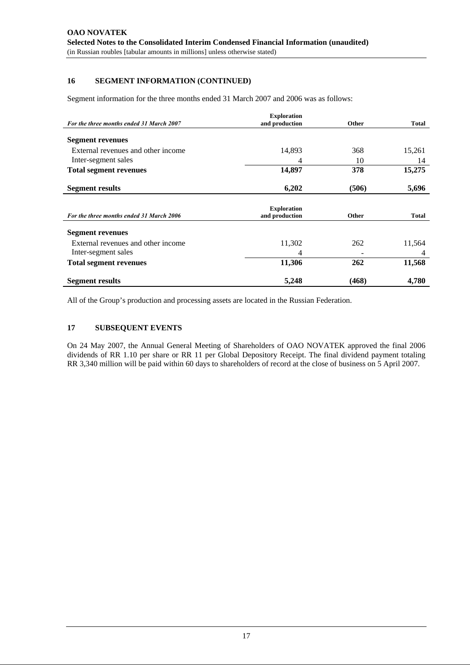#### **16 SEGMENT INFORMATION (CONTINUED)**

Segment information for the three months ended 31 March 2007 and 2006 was as follows:

|                                          | <b>Exploration</b>                   |              |              |
|------------------------------------------|--------------------------------------|--------------|--------------|
| For the three months ended 31 March 2007 | and production                       | Other        | <b>Total</b> |
| <b>Segment revenues</b>                  |                                      |              |              |
| External revenues and other income       | 14,893                               | 368          | 15,261       |
| Inter-segment sales                      | 4                                    | 10           | 14           |
| <b>Total segment revenues</b>            | 14,897                               | 378          | 15,275       |
| <b>Segment results</b>                   | 6,202                                | (506)        | 5,696        |
| For the three months ended 31 March 2006 | <b>Exploration</b><br>and production | <b>Other</b> | <b>Total</b> |
| <b>Segment revenues</b>                  |                                      |              |              |
| External revenues and other income       | 11,302                               | 262          | 11,564       |
| Inter-segment sales                      | 4                                    |              | 4            |
| <b>Total segment revenues</b>            | 11,306                               | 262          | 11,568       |
| <b>Segment results</b>                   | 5,248                                | (468)        | 4,780        |

All of the Group's production and processing assets are located in the Russian Federation.

#### **17 SUBSEQUENT EVENTS**

On 24 May 2007, the Annual General Meeting of Shareholders of OAO NOVATEK approved the final 2006 dividends of RR 1.10 per share or RR 11 per Global Depository Receipt. The final dividend payment totaling RR 3,340 million will be paid within 60 days to shareholders of record at the close of business on 5 April 2007.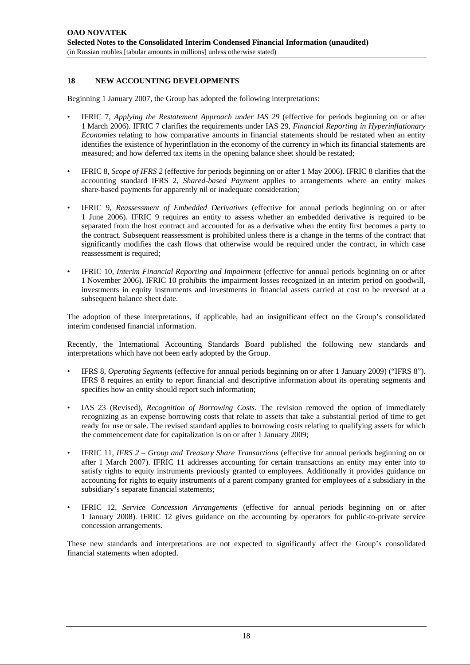#### **18 NEW ACCOUNTING DEVELOPMENTS**

Beginning 1 January 2007, the Group has adopted the following interpretations:

- IFRIC 7, *Applying the Restatement Approach under IAS 29* (effective for periods beginning on or after 1 March 2006). IFRIC 7 clarifies the requirements under IAS 29, *Financial Reporting in Hyperinflationary Economies* relating to how comparative amounts in financial statements should be restated when an entity identifies the existence of hyperinflation in the economy of the currency in which its financial statements are measured; and how deferred tax items in the opening balance sheet should be restated;
- IFRIC 8, *Scope of IFRS 2* (effective for periods beginning on or after 1 May 2006). IFRIC 8 clarifies that the accounting standard IFRS 2, *Shared-based Payment* applies to arrangements where an entity makes share-based payments for apparently nil or inadequate consideration;
- IFRIC 9, *Reassessment of Embedded Derivatives* (effective for annual periods beginning on or after 1 June 2006). IFRIC 9 requires an entity to assess whether an embedded derivative is required to be separated from the host contract and accounted for as a derivative when the entity first becomes a party to the contract. Subsequent reassessment is prohibited unless there is a change in the terms of the contract that significantly modifies the cash flows that otherwise would be required under the contract, in which case reassessment is required;
- IFRIC 10, *Interim Financial Reporting and Impairment* (effective for annual periods beginning on or after 1 November 2006). IFRIC 10 prohibits the impairment losses recognized in an interim period on goodwill, investments in equity instruments and investments in financial assets carried at cost to be reversed at a subsequent balance sheet date.

The adoption of these interpretations, if applicable, had an insignificant effect on the Group's consolidated interim condensed financial information.

Recently, the International Accounting Standards Board published the following new standards and interpretations which have not been early adopted by the Group.

- IFRS 8, *Operating Segments* (effective for annual periods beginning on or after 1 January 2009) ("IFRS 8")*.* IFRS 8 requires an entity to report financial and descriptive information about its operating segments and specifies how an entity should report such information;
- IAS 23 (Revised), *Recognition of Borrowing Costs*. The revision removed the option of immediately recognizing as an expense borrowing costs that relate to assets that take a substantial period of time to get ready for use or sale. The revised standard applies to borrowing costs relating to qualifying assets for which the commencement date for capitalization is on or after 1 January 2009;
- IFRIC 11, *IFRS 2 Group and Treasury Share Transactions* (effective for annual periods beginning on or after 1 March 2007). IFRIC 11 addresses accounting for certain transactions an entity may enter into to satisfy rights to equity instruments previously granted to employees. Additionally it provides guidance on accounting for rights to equity instruments of a parent company granted for employees of a subsidiary in the subsidiary's separate financial statements;
- IFRIC 12, *Service Concession Arrangements* (effective for annual periods beginning on or after 1 January 2008). IFRIC 12 gives guidance on the accounting by operators for public-to-private service concession arrangements.

These new standards and interpretations are not expected to significantly affect the Group's consolidated financial statements when adopted.